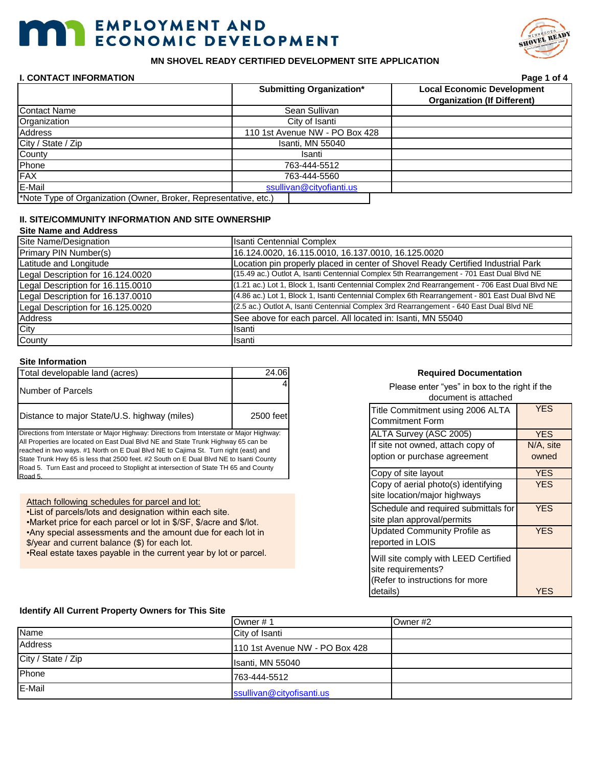# **THE EMPLOYMENT AND ECONOMIC DEVELOPMENT**



# **MN SHOVEL READY CERTIFIED DEVELOPMENT SITE APPLICATION**

# **I. CONTACT INFORMATION Page 1 of 4**

|                                                                  | <b>Submitting Organization*</b> |                | <b>Local Economic Development</b>  |
|------------------------------------------------------------------|---------------------------------|----------------|------------------------------------|
|                                                                  |                                 |                | <b>Organization (If Different)</b> |
| <b>Contact Name</b>                                              |                                 | Sean Sullivan  |                                    |
| Organization                                                     |                                 | City of Isanti |                                    |
| Address                                                          | 110 1st Avenue NW - PO Box 428  |                |                                    |
| City / State / Zip                                               | Isanti, MN 55040                |                |                                    |
| County                                                           | Isanti                          |                |                                    |
| Phone                                                            | 763-444-5512                    |                |                                    |
| FAX                                                              | 763-444-5560                    |                |                                    |
| E-Mail                                                           | ssullivan@cityofianti.us        |                |                                    |
| *Note Type of Organization (Owner, Broker, Representative, etc.) |                                 |                |                                    |

# **II. SITE/COMMUNITY INFORMATION AND SITE OWNERSHIP**

# **Site Name and Address**

| Site Name/Designation             | <b>Isanti Centennial Complex</b>                                                               |
|-----------------------------------|------------------------------------------------------------------------------------------------|
| Primary PIN Number(s)             | 16.124.0020, 16.115.0010, 16.137.0010, 16.125.0020                                             |
| Latitude and Longitude            | Location pin properly placed in center of Shovel Ready Certified Industrial Park               |
| Legal Description for 16.124.0020 | (15.49 ac.) Outlot A, Isanti Centennial Complex 5th Rearrangement - 701 East Dual Blvd NE      |
| Legal Description for 16.115.0010 | (1.21 ac.) Lot 1, Block 1, Isanti Centennial Complex 2nd Rearrangement - 706 East Dual Blvd NE |
| Legal Description for 16.137.0010 | (4.86 ac.) Lot 1, Block 1, Isanti Centennial Complex 6th Rearrangement - 801 East Dual Blvd NE |
| Legal Description for 16.125.0020 | (2.5 ac.) Outlot A, Isanti Centennial Complex 3rd Rearrangement - 640 East Dual Blvd NE        |
| Address                           | See above for each parcel. All located in: Isanti, MN 55040                                    |
| City                              | Isanti                                                                                         |
| County                            | Isanti                                                                                         |

# **Site Information**

| Total developable land (acres)               | 24.06     |
|----------------------------------------------|-----------|
| Number of Parcels                            |           |
| Distance to major State/U.S. highway (miles) | 2500 feet |

Directions from Interstate or Major Highway: Directions from Interstate or Major Highway: All Properties are located on East Dual Blvd NE and State Trunk Highway 65 can be reached in two ways. #1 North on E Dual Blvd NE to Cajima St. Turn right (east) and State Trunk Hwy 65 is less that 2500 feet. #2 South on E Dual Blvd NE to Isanti County Road 5. Turn East and proceed to Stoplight at intersection of State TH 65 and County Road 5.

Attach following schedules for parcel and lot:

•List of parcels/lots and designation within each site.

•Market price for each parcel or lot in \$/SF, \$/acre and \$/lot.

•Any special assessments and the amount due for each lot in

\$/year and current balance (\$) for each lot.

•Real estate taxes payable in the current year by lot or parcel.

# **Required Documentation**

Please enter "yes" in box to the right if the document is attached

| Title Commitment using 2006 ALTA<br><b>Commitment Form</b>                                                | <b>YES</b> |
|-----------------------------------------------------------------------------------------------------------|------------|
| ALTA Survey (ASC 2005)                                                                                    | <b>YES</b> |
| If site not owned, attach copy of                                                                         | N/A, site  |
| option or purchase agreement                                                                              | owned      |
| Copy of site layout                                                                                       | <b>YES</b> |
| Copy of aerial photo(s) identifying<br>site location/major highways                                       | YES        |
| Schedule and required submittals for<br>site plan approval/permits                                        | YES        |
| <b>Updated Community Profile as</b><br>reported in LOIS                                                   | YES        |
| Will site comply with LEED Certified<br>site requirements?<br>(Refer to instructions for more<br>details) | YES        |

## **Identify All Current Property Owners for This Site**

|                    | Owner #1                       | Owner #2 |
|--------------------|--------------------------------|----------|
| Name               | City of Isanti                 |          |
| <b>Address</b>     | 110 1st Avenue NW - PO Box 428 |          |
| City / State / Zip | Isanti, MN 55040               |          |
| Phone              | 763-444-5512                   |          |
| E-Mail             | ssullivan@cityofisanti.us      |          |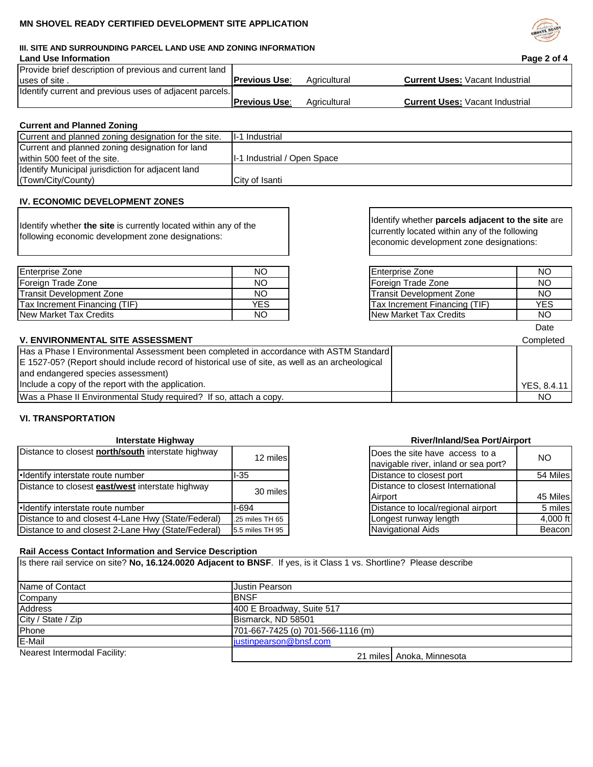# **MN SHOVEL READY CERTIFIED DEVELOPMENT SITE APPLICATION**

# **III. SITE AND SURROUNDING PARCEL LAND USE AND ZONING INFORMATION**

## **Land Use Information Page 2 of 4** Provide brief description of previous and current land uses of site . Identify current and previous uses of adjacent parcels. **Previous Use:** Agricultural **Current Uses:** Vacant Industrial **Previous Use:** Agricultural **Current Uses:** Vacant Industrial

# **Current and Planned Zoning**

| II-1 Industrial              |
|------------------------------|
|                              |
| II-1 Industrial / Open Space |
|                              |
| City of Isanti               |
|                              |

# **IV. ECONOMIC DEVELOPMENT ZONES**

Identify whether **the site** is currently located within any of the following economic development zone designations:

| Enterprise Zone               | NΟ        | <b>Enterprise Zone</b>           | NO. |
|-------------------------------|-----------|----------------------------------|-----|
| l Foreian Trade Zone          | NΟ        | Foreign Trade Zone               | NO. |
| lTransit Development Zone     | NΟ        | <b>ITransit Development Zone</b> | NO. |
| Tax Increment Financing (TIF) | YES       | ITax Increment Financing (TIF)   | YES |
| New Market Tax Credits        | <b>NO</b> | New Market Tax Credits           | NO. |

Identify whether **parcels adjacent to the site** are currently located within any of the following economic development zone designations:

| <b>Enterprise Zone</b>          | חמ  |
|---------------------------------|-----|
| Foreign Trade Zone              | NΩ  |
| <b>Transit Development Zone</b> | NΩ  |
| Tax Increment Financing (TIF)   | YFS |
| New Market Tax Credits          |     |

Date

# **V. ENVIRONMENTAL SITE ASSESSMENT** COMPLETE AND THE SERVICE OF THE SERVICE OF THE SERVICE OF THE SERVICE OF THE SERVICE OF THE SERVICE OF THE SERVICE OF THE SERVICE OF THE SERVICE OF THE SERVICE OF THE SERVICE OF THE SERVI

| Has a Phase I Environmental Assessment been completed in accordance with ASTM Standard          |                    |
|-------------------------------------------------------------------------------------------------|--------------------|
| E 1527-05? (Report should include record of historical use of site, as well as an archeological |                    |
| and endangered species assessment)                                                              |                    |
| Include a copy of the report with the application.                                              | <b>YES. 8.4.11</b> |
| Was a Phase II Environmental Study required? If so, attach a copy.                              | NO.                |

# **VI. TRANSPORTATION**

# **Interstate Highway**

| Distance to closest <b>north/south</b> interstate highway | 12 miles        | Does the site have access to a                                   | NO.      |
|-----------------------------------------------------------|-----------------|------------------------------------------------------------------|----------|
| .Identify interstate route number                         | l-35            | navigable river, inland or sea port?<br>Distance to closest port | 54 Miles |
| Distance to closest <b>east/west</b> interstate highway   | 30 miles        | Distance to closest International<br>Airport                     | 45 Miles |
| ·Identify interstate route number                         | l-694           | Distance to local/regional airport                               | 5 miles  |
| Distance to and closest 4-Lane Hwy (State/Federal)        | .25 miles TH 65 | Longest runway length                                            | 4,000 ft |
| Distance to and closest 2-Lane Hwy (State/Federal)        | 5.5 miles TH 95 | Navigational Aids                                                | Beacon   |

# **River/Inland/Sea Port/Airport**

| Does the site have access to a<br>navigable river, inland or sea port? | NΩ       |
|------------------------------------------------------------------------|----------|
| Distance to closest port                                               | 54 Miles |
| Distance to closest International                                      |          |
| Airport                                                                | 45 Miles |
| Distance to local/regional airport                                     | 5 miles  |
| Longest runway length                                                  | 4,000 ft |
|                                                                        |          |

# **Rail Access Contact Information and Service Description**

Is there rail service on site? **No, 16.124.0020 Adjacent to BNSF**. If yes, is it Class 1 vs. Shortline? Please describe

| Name of Contact              | Justin Pearson                    |                           |  |
|------------------------------|-----------------------------------|---------------------------|--|
| Company                      | <b>IBNSF</b>                      |                           |  |
| <b>Address</b>               | 400 E Broadway, Suite 517         |                           |  |
| City / State / Zip           | Bismarck, ND 58501                |                           |  |
| Phone                        | 701-667-7425 (o) 701-566-1116 (m) |                           |  |
| E-Mail                       | justinpearson@bnsf.com            |                           |  |
| Nearest Intermodal Facility: |                                   | 21 miles Anoka, Minnesota |  |

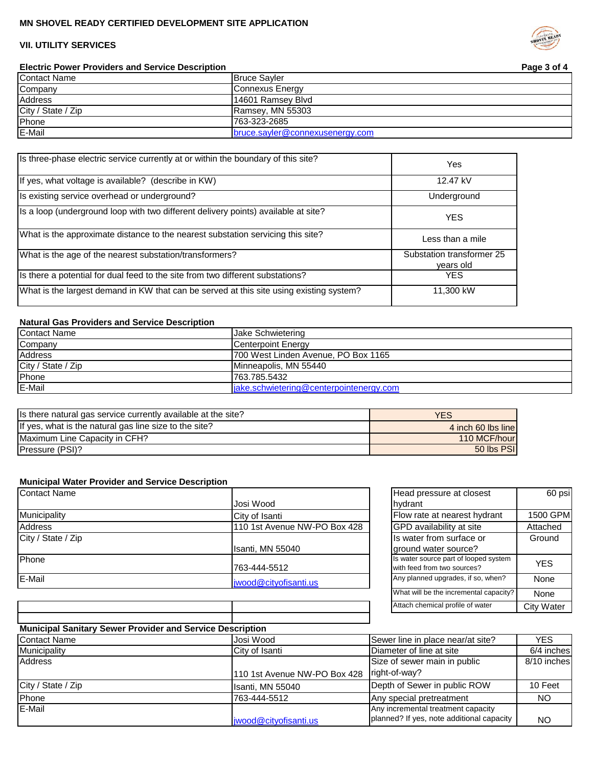# **MN SHOVEL READY CERTIFIED DEVELOPMENT SITE APPLICATION**

# **VII. UTILITY SERVICES**

**Electric Power Providers and Service Description**

| <b>Contact Name</b> | <b>Bruce Savler</b>             |
|---------------------|---------------------------------|
| Company             | Connexus Energy                 |
| <b>Address</b>      | 14601 Ramsey Blvd               |
| City / State / Zip  | Ramsey, MN 55303                |
| Phone               | 763-323-2685                    |
| E-Mail              | bruce.sayler@connexusenergy.com |

| Is three-phase electric service currently at or within the boundary of this site?       | Yes                                    |
|-----------------------------------------------------------------------------------------|----------------------------------------|
| If yes, what voltage is available? (describe in KW)                                     | 12.47 kV                               |
| Is existing service overhead or underground?                                            | Underground                            |
| Is a loop (underground loop with two different delivery points) available at site?      | <b>YES</b>                             |
| What is the approximate distance to the nearest substation servicing this site?         | Less than a mile                       |
| What is the age of the nearest substation/transformers?                                 | Substation transformer 25<br>years old |
| Is there a potential for dual feed to the site from two different substations?          | YES.                                   |
| What is the largest demand in KW that can be served at this site using existing system? | 11,300 kW                              |

# **Natural Gas Providers and Service Description**

| <b>Contact Name</b> | <b>Jake Schwietering</b>                |
|---------------------|-----------------------------------------|
| Company             | <b>Centerpoint Energy</b>               |
| <b>Address</b>      | 700 West Linden Avenue, PO Box 1165     |
| City / State / Zip  | Minneapolis, MN 55440                   |
| Phone               | 763.785.5432                            |
| E-Mail              | jake.schwietering@centerpointenergy.com |

| Is there natural gas service currently available at the site? | YES                |
|---------------------------------------------------------------|--------------------|
| If yes, what is the natural gas line size to the site?        | 4 inch 60 lbs line |
| IMaximum Line Capacity in CFH?                                | 110 MCF/hour       |
| Pressure (PSI)?                                               | 50 lbs PSI         |

# **Municipal Water Provider and Service Description**

| <b>Contact Name</b> |                              | Head pressure at closest                                                                                                                                                                                                           | 60 psi   |
|---------------------|------------------------------|------------------------------------------------------------------------------------------------------------------------------------------------------------------------------------------------------------------------------------|----------|
|                     | Josi Wood                    | Ihvdrant                                                                                                                                                                                                                           |          |
| Municipality        | City of Isanti               | Flow rate at nearest hydrant                                                                                                                                                                                                       | 1500 GPM |
| <b>Address</b>      | 110 1st Avenue NW-PO Box 428 | <b>GPD</b> availability at site                                                                                                                                                                                                    | Attached |
| City / State / Zip  |                              | Its water from surface or                                                                                                                                                                                                          | Ground   |
|                     | Isanti, MN 55040             | ground water source?                                                                                                                                                                                                               |          |
| Phone               | 763-444-5512                 | Is water source part of looped system<br>with feed from two sources?                                                                                                                                                               | YES      |
| E-Mail              | jwood@cityofisanti.us        | Any planned upgrades, if so, when?                                                                                                                                                                                                 | None     |
|                     |                              | <b>INVIDENTIAL CONTRACTOR</b> INTERFERING TO A REPORT OF A STRUCTURE OF A REPORT OF A STRUCTURE OF A REPORT OF A STRUCTURE OF A STRUCTURE OF A STRUCTURE OF A STRUCTURE OF A STRUCTURE OF A STRUCTURE OF A STRUCTURE OF A STRUCTUR | $\sim$   |

| Head pressure at closest                                             | 60 psi            |
|----------------------------------------------------------------------|-------------------|
| hydrant                                                              |                   |
| Flow rate at nearest hydrant                                         | 1500 GPM          |
| GPD availability at site                                             | Attached          |
| Is water from surface or                                             | Ground            |
| ground water source?                                                 |                   |
| Is water source part of looped system<br>with feed from two sources? | YES               |
| Any planned upgrades, if so, when?                                   | None              |
| What will be the incremental capacity?                               | None              |
| Attach chemical profile of water                                     | <b>City Water</b> |

# **Municipal Sanitary Sewer Provider and Service Description**

| <b>Contact Name</b> | Josi Wood                     | Sewer line in place near/at site?         | <b>YES</b>  |
|---------------------|-------------------------------|-------------------------------------------|-------------|
| Municipality        | City of Isanti                | Diameter of line at site                  | 6/4 inches  |
| Address             |                               | Size of sewer main in public              | 8/10 inches |
|                     | 1110 1st Avenue NW-PO Box 428 | right-of-way?                             |             |
| City / State / Zip  | Isanti, MN 55040              | Depth of Sewer in public ROW              | 10 Feet     |
| Phone               | 763-444-5512                  | Any special pretreatment                  | NO.         |
| E-Mail              |                               | Any incremental treatment capacity        |             |
|                     | jwood@cityofisanti.us         | planned? If yes, note additional capacity | ΝO          |



**Page 3 of 4**